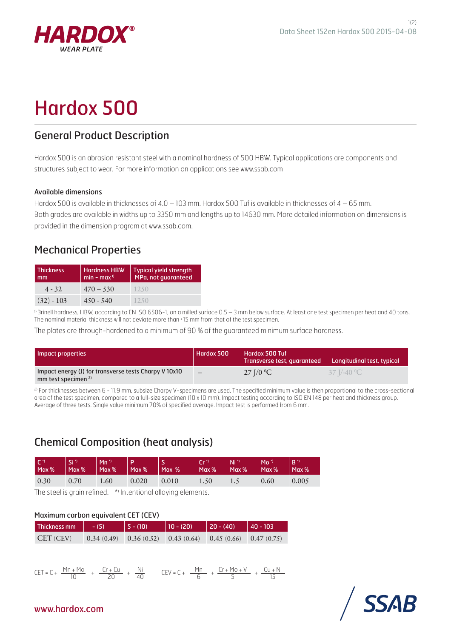

# Hardox 500

## General Product Description

Hardox 500 is an abrasion resistant steel with a nominal hardness of 500 HBW. Typical applications are components and structures subject to wear. For more information on applications see www.ssab.com

#### Available dimensions

Hardox 500 is available in thicknesses of 4.0 – 103 mm. Hardox 500 Tuf is available in thicknesses of 4 – 65 mm. Both grades are available in widths up to 3350 mm and lengths up to 14630 mm. More detailed information on dimensions is provided in the dimension program at www.ssab.com.

## Mechanical Properties

| <b>Thickness</b><br>mm | <b>Hardness HBW</b><br>$min - max0$ | <b>Typical yield strength</b><br>MPa, not guaranteed |
|------------------------|-------------------------------------|------------------------------------------------------|
| $4 - 32$               | $470 - 530$                         | 1250                                                 |
| $(32) - 103$           | $450 - 540$                         | 1250                                                 |

<sup>1)</sup> Brinell hardness, HBW, according to EN ISO 6506-1, on a milled surface 0.5 – 3 mm below surface. At least one test specimen per heat and 40 tons. The nominal material thickness will not deviate more than <sup>+</sup>15 mm from that of the test specimen.

The plates are through-hardened to a minimum of 90 % of the guaranteed minimum surface hardness.

| Impact properties                                                                       | Hardox 500 | <b>Hardox 500 Tuf</b><br>Transverse test, quaranteed | Longitudinal test, typical |
|-----------------------------------------------------------------------------------------|------------|------------------------------------------------------|----------------------------|
| Impact energy (J) for transverse tests Charpy V 10x10<br>mm test specimen <sup>2)</sup> |            | 27 J/0 °C                                            | 37 J/-40 <sup>o</sup> C    |

<sup>2)</sup> For thicknesses between 6 - 11.9 mm, subsize Charpy V-specimens are used. The specified minimum value is then proportional to the cross-sectional area of the test specimen, compared to a full-size specimen (10 x 10 mm). Impact testing according to ISO EN 148 per heat and thickness group. Average of three tests. Single value minimum 70% of specified average. Impact test is performed from 6 mm.

## Chemical Composition (heat analysis)

| $\sqrt{C}$ | <b>VSi</b> | $Mn^*$ |       | Max %   Max %   Max %   Max %   Max %   Max %   Max %   Max %   Max %   Max %   Max %   Max %   Max %   M |                  | $\parallel$ Ni <sup>3</sup> | $ Mo^*$ | $ R^{\star}\rangle$ |
|------------|------------|--------|-------|-----------------------------------------------------------------------------------------------------------|------------------|-----------------------------|---------|---------------------|
| 0.30       | 0.70       | 1.60   | 0.020 | 0.010                                                                                                     | $\setminus$ 1.50 | 1.5                         | 0.60    | 0.005               |

The steel is grain refined. \* Intentional alloying elements.

#### Maximum carbon equivalent CET (CEV)

| Thickness mm | $- (5)$ | $  5 - (10)$ | $ 10 - (20) $                                                          | $ 20 - (40) $ | $ 40 - 103$ |
|--------------|---------|--------------|------------------------------------------------------------------------|---------------|-------------|
| CET (CEV)    |         |              | $(0.34(0.49)$ $(0.36(0.52)$ $(0.43(0.64)$ $(0.45(0.66)$ $(0.47(0.75))$ |               |             |





### www.hardox.com